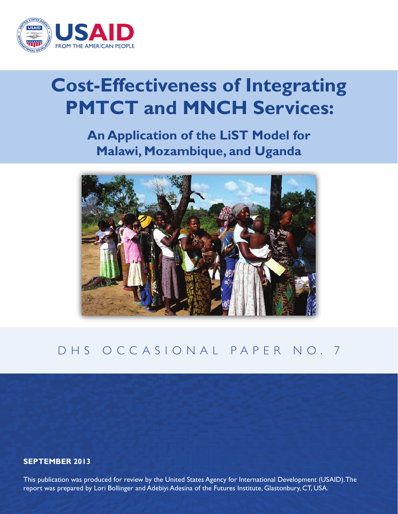

# **Cost-Effectiveness of Integrating PMTCT and MNCH Services:**

**An Application of the LiST Model for Malawi, Mozambique, and Uganda**



### DHS OCCASIONAL PAPER NO. 7

#### **SEPTEMBER 2013**

This publication was produced for review by the United States Agency for International Development (USAID). The report was prepared by Lori Bollinger and Adebiyi Adesina of the Futures Institute, Glastonbury, CT, USA.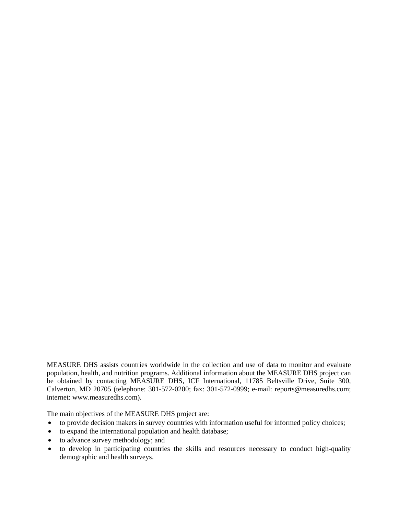MEASURE DHS assists countries worldwide in the collection and use of data to monitor and evaluate population, health, and nutrition programs. Additional information about the MEASURE DHS project can be obtained by contacting MEASURE DHS, ICF International, 11785 Beltsville Drive, Suite 300, Calverton, MD 20705 (telephone: 301-572-0200; fax: 301-572-0999; e-mail: reports@measuredhs.com; internet: www.measuredhs.com).

The main objectives of the MEASURE DHS project are:

- to provide decision makers in survey countries with information useful for informed policy choices;
- to expand the international population and health database;
- to advance survey methodology; and
- to develop in participating countries the skills and resources necessary to conduct high-quality demographic and health surveys.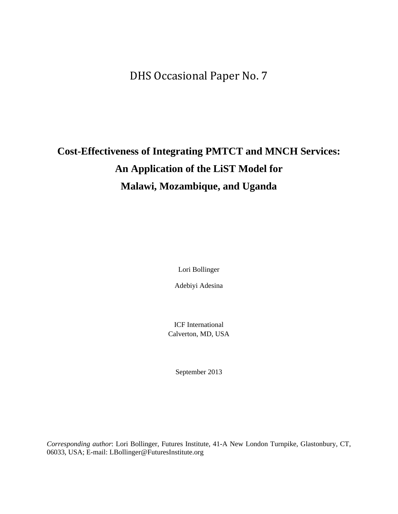DHS Occasional Paper No. 7

## **Cost-Effectiveness of Integrating PMTCT and MNCH Services: An Application of the LiST Model for Malawi, Mozambique, and Uganda**

Lori Bollinger

Adebiyi Adesina

ICF International Calverton, MD, USA

September 2013

*Corresponding author*: Lori Bollinger, Futures Institute, 41-A New London Turnpike, Glastonbury, CT, 06033, USA; E-mail: LBollinger@FuturesInstitute.org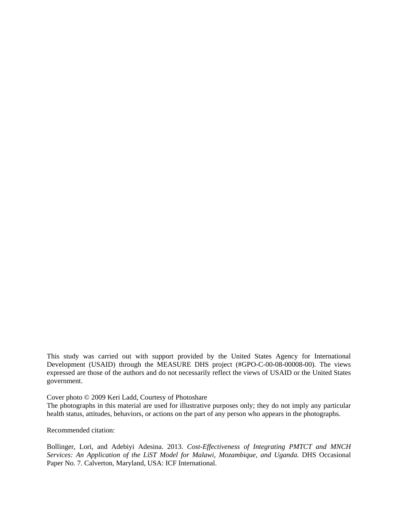This study was carried out with support provided by the United States Agency for International Development (USAID) through the MEASURE DHS project (#GPO-C-00-08-00008-00). The views expressed are those of the authors and do not necessarily reflect the views of USAID or the United States government.

Cover photo © 2009 Keri Ladd, Courtesy of Photoshare

The photographs in this material are used for illustrative purposes only; they do not imply any particular health status, attitudes, behaviors, or actions on the part of any person who appears in the photographs.

Recommended citation:

Bollinger, Lori, and Adebiyi Adesina. 2013. *Cost-Effectiveness of Integrating PMTCT and MNCH*  Services: An Application of the LiST Model for Malawi, Mozambique, and Uganda. DHS Occasional Paper No. 7. Calverton, Maryland, USA: ICF International.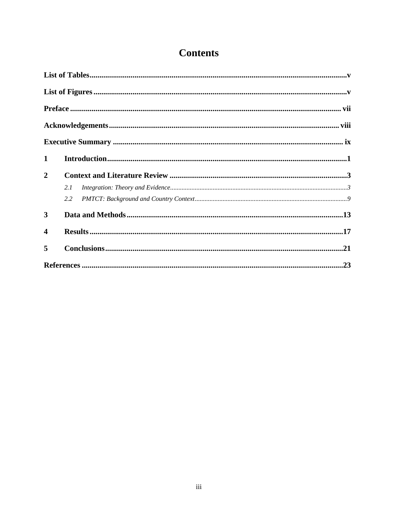### **Contents**

| $\mathbf{1}$            |     |  |
|-------------------------|-----|--|
| $\overline{2}$          |     |  |
|                         | 2.1 |  |
|                         | 2.2 |  |
| $\mathbf{3}$            |     |  |
| $\overline{\mathbf{4}}$ |     |  |
| 5                       |     |  |
|                         |     |  |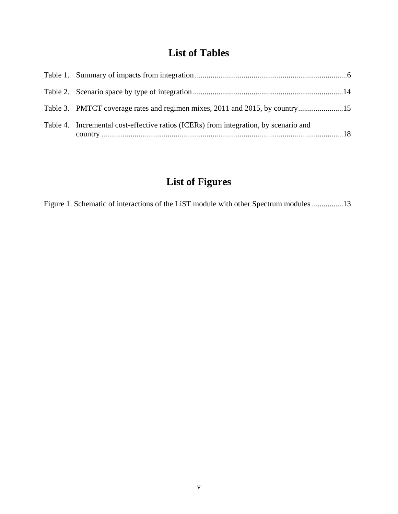### **List of Tables**

| Table 3. PMTCT coverage rates and regimen mixes, 2011 and 2015, by country15         |  |
|--------------------------------------------------------------------------------------|--|
| Table 4. Incremental cost-effective ratios (ICERs) from integration, by scenario and |  |

### **List of Figures**

Figure 1. Schematic of interactions of the LiST module with other Spectrum modules ................13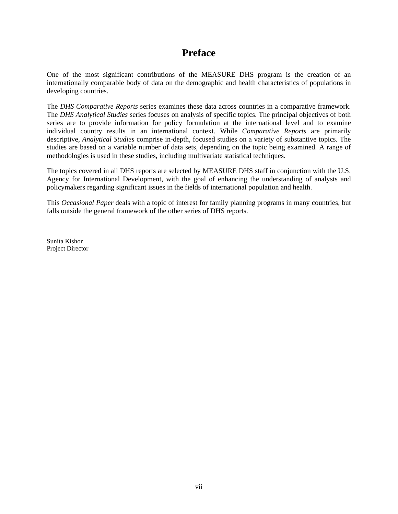### **Preface**

One of the most significant contributions of the MEASURE DHS program is the creation of an internationally comparable body of data on the demographic and health characteristics of populations in developing countries.

The *DHS Comparative Reports* series examines these data across countries in a comparative framework. The *DHS Analytical Studies* series focuses on analysis of specific topics. The principal objectives of both series are to provide information for policy formulation at the international level and to examine individual country results in an international context. While *Comparative Reports* are primarily descriptive, *Analytical Studies* comprise in-depth, focused studies on a variety of substantive topics. The studies are based on a variable number of data sets, depending on the topic being examined. A range of methodologies is used in these studies, including multivariate statistical techniques.

The topics covered in all DHS reports are selected by MEASURE DHS staff in conjunction with the U.S. Agency for International Development, with the goal of enhancing the understanding of analysts and policymakers regarding significant issues in the fields of international population and health.

This *Occasional Paper* deals with a topic of interest for family planning programs in many countries, but falls outside the general framework of the other series of DHS reports.

Sunita Kishor Project Director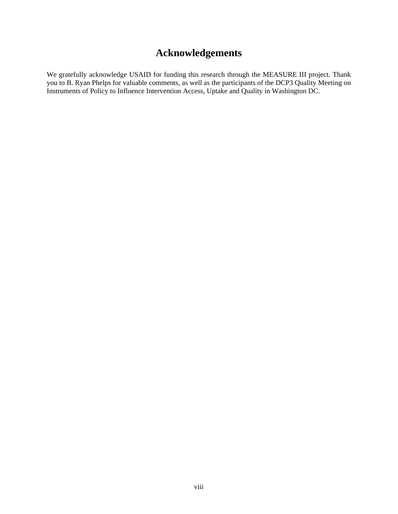### **Acknowledgements**

We gratefully acknowledge USAID for funding this research through the MEASURE III project. Thank you to B. Ryan Phelps for valuable comments, as well as the participants of the DCP3 Quality Meeting on Instruments of Policy to Influence Intervention Access, Uptake and Quality in Washington DC.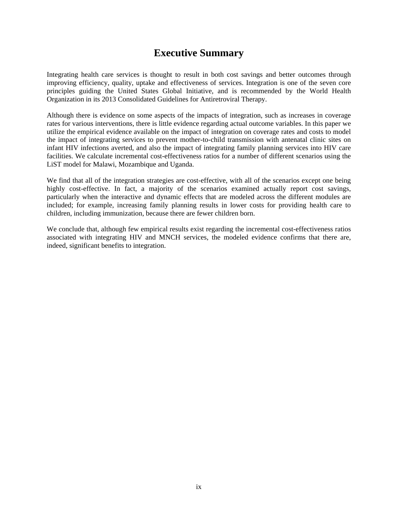### **Executive Summary**

Integrating health care services is thought to result in both cost savings and better outcomes through improving efficiency, quality, uptake and effectiveness of services. Integration is one of the seven core principles guiding the United States Global Initiative, and is recommended by the World Health Organization in its 2013 Consolidated Guidelines for Antiretroviral Therapy.

Although there is evidence on some aspects of the impacts of integration, such as increases in coverage rates for various interventions, there is little evidence regarding actual outcome variables. In this paper we utilize the empirical evidence available on the impact of integration on coverage rates and costs to model the impact of integrating services to prevent mother-to-child transmission with antenatal clinic sites on infant HIV infections averted, and also the impact of integrating family planning services into HIV care facilities. We calculate incremental cost-effectiveness ratios for a number of different scenarios using the LiST model for Malawi, Mozambique and Uganda.

We find that all of the integration strategies are cost-effective, with all of the scenarios except one being highly cost-effective. In fact, a majority of the scenarios examined actually report cost savings. particularly when the interactive and dynamic effects that are modeled across the different modules are included; for example, increasing family planning results in lower costs for providing health care to children, including immunization, because there are fewer children born.

We conclude that, although few empirical results exist regarding the incremental cost-effectiveness ratios associated with integrating HIV and MNCH services, the modeled evidence confirms that there are, indeed, significant benefits to integration.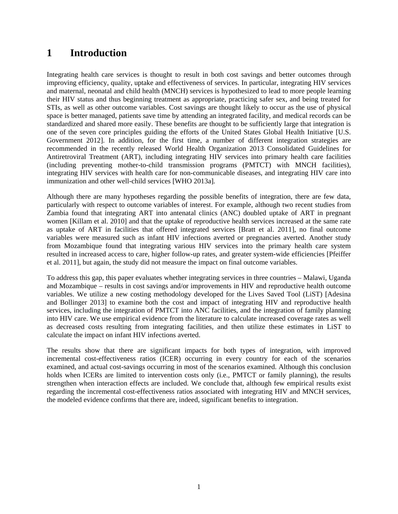### **1 Introduction**

Integrating health care services is thought to result in both cost savings and better outcomes through improving efficiency, quality, uptake and effectiveness of services. In particular, integrating HIV services and maternal, neonatal and child health (MNCH) services is hypothesized to lead to more people learning their HIV status and thus beginning treatment as appropriate, practicing safer sex, and being treated for STIs, as well as other outcome variables. Cost savings are thought likely to occur as the use of physical space is better managed, patients save time by attending an integrated facility, and medical records can be standardized and shared more easily. These benefits are thought to be sufficiently large that integration is one of the seven core principles guiding the efforts of the United States Global Health Initiative [U.S. Government 2012]. In addition, for the first time, a number of different integration strategies are recommended in the recently released World Health Organization 2013 Consolidated Guidelines for Antiretroviral Treatment (ART), including integrating HIV services into primary health care facilities (including preventing mother-to-child transmission programs (PMTCT) with MNCH facilities), integrating HIV services with health care for non-communicable diseases, and integrating HIV care into immunization and other well-child services [WHO 2013a].

Although there are many hypotheses regarding the possible benefits of integration, there are few data, particularly with respect to outcome variables of interest. For example, although two recent studies from Zambia found that integrating ART into antenatal clinics (ANC) doubled uptake of ART in pregnant women [Killam et al. 2010] and that the uptake of reproductive health services increased at the same rate as uptake of ART in facilities that offered integrated services [Bratt et al. 2011], no final outcome variables were measured such as infant HIV infections averted or pregnancies averted. Another study from Mozambique found that integrating various HIV services into the primary health care system resulted in increased access to care, higher follow-up rates, and greater system-wide efficiencies [Pfeiffer et al. 2011], but again, the study did not measure the impact on final outcome variables.

To address this gap, this paper evaluates whether integrating services in three countries – Malawi, Uganda and Mozambique – results in cost savings and/or improvements in HIV and reproductive health outcome variables. We utilize a new costing methodology developed for the Lives Saved Tool (LiST) [Adesina and Bollinger 2013] to examine both the cost and impact of integrating HIV and reproductive health services, including the integration of PMTCT into ANC facilities, and the integration of family planning into HIV care. We use empirical evidence from the literature to calculate increased coverage rates as well as decreased costs resulting from integrating facilities, and then utilize these estimates in LiST to calculate the impact on infant HIV infections averted.

The results show that there are significant impacts for both types of integration, with improved incremental cost-effectiveness ratios (ICER) occurring in every country for each of the scenarios examined, and actual cost-savings occurring in most of the scenarios examined. Although this conclusion holds when ICERs are limited to intervention costs only (i.e., PMTCT or family planning), the results strengthen when interaction effects are included. We conclude that, although few empirical results exist regarding the incremental cost-effectiveness ratios associated with integrating HIV and MNCH services, the modeled evidence confirms that there are, indeed, significant benefits to integration.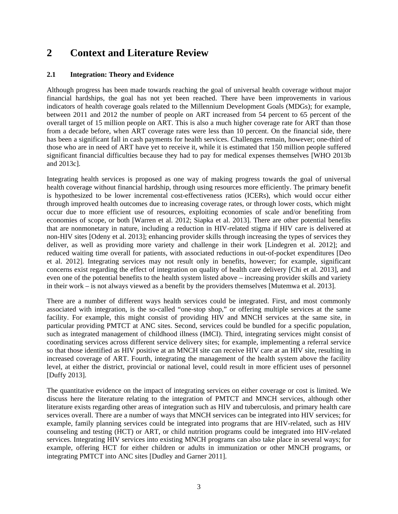### **2 Context and Literature Review**

#### **2.1 Integration: Theory and Evidence**

Although progress has been made towards reaching the goal of universal health coverage without major financial hardships, the goal has not yet been reached. There have been improvements in various indicators of health coverage goals related to the Millennium Development Goals (MDGs); for example, between 2011 and 2012 the number of people on ART increased from 54 percent to 65 percent of the overall target of 15 million people on ART. This is also a much higher coverage rate for ART than those from a decade before, when ART coverage rates were less than 10 percent. On the financial side, there has been a significant fall in cash payments for health services. Challenges remain, however; one-third of those who are in need of ART have yet to receive it, while it is estimated that 150 million people suffered significant financial difficulties because they had to pay for medical expenses themselves [WHO 2013b and 2013c].

Integrating health services is proposed as one way of making progress towards the goal of universal health coverage without financial hardship, through using resources more efficiently. The primary benefit is hypothesized to be lower incremental cost-effectiveness ratios (ICERs), which would occur either through improved health outcomes due to increasing coverage rates, or through lower costs, which might occur due to more efficient use of resources, exploiting economies of scale and/or benefiting from economies of scope, or both [Warren et al. 2012; Siapka et al. 2013]. There are other potential benefits that are nonmonetary in nature, including a reduction in HIV-related stigma if HIV care is delivered at non-HIV sites [Odeny et al. 2013]; enhancing provider skills through increasing the types of services they deliver, as well as providing more variety and challenge in their work [Lindegren et al. 2012]; and reduced waiting time overall for patients, with associated reductions in out-of-pocket expenditures [Deo et al. 2012]. Integrating services may not result only in benefits, however; for example, significant concerns exist regarding the effect of integration on quality of health care delivery [Chi et al. 2013], and even one of the potential benefits to the health system listed above – increasing provider skills and variety in their work – is not always viewed as a benefit by the providers themselves [Mutemwa et al. 2013].

There are a number of different ways health services could be integrated. First, and most commonly associated with integration, is the so-called "one-stop shop," or offering multiple services at the same facility. For example, this might consist of providing HIV and MNCH services at the same site, in particular providing PMTCT at ANC sites. Second, services could be bundled for a specific population, such as integrated management of childhood illness (IMCI). Third, integrating services might consist of coordinating services across different service delivery sites; for example, implementing a referral service so that those identified as HIV positive at an MNCH site can receive HIV care at an HIV site, resulting in increased coverage of ART. Fourth, integrating the management of the health system above the facility level, at either the district, provincial or national level, could result in more efficient uses of personnel [Duffy 2013].

The quantitative evidence on the impact of integrating services on either coverage or cost is limited. We discuss here the literature relating to the integration of PMTCT and MNCH services, although other literature exists regarding other areas of integration such as HIV and tuberculosis, and primary health care services overall. There are a number of ways that MNCH services can be integrated into HIV services; for example, family planning services could be integrated into programs that are HIV-related, such as HIV counseling and testing (HCT) or ART, or child nutrition programs could be integrated into HIV-related services. Integrating HIV services into existing MNCH programs can also take place in several ways; for example, offering HCT for either children or adults in immunization or other MNCH programs, or integrating PMTCT into ANC sites [Dudley and Garner 2011].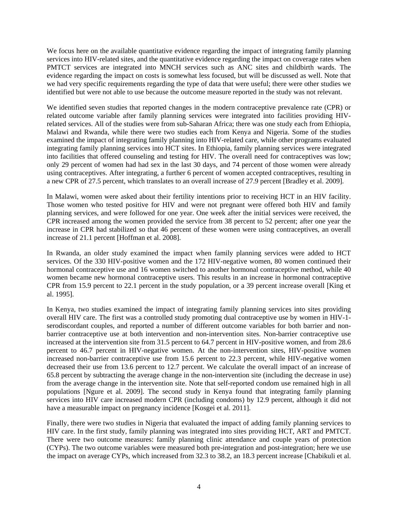We focus here on the available quantitative evidence regarding the impact of integrating family planning services into HIV-related sites, and the quantitative evidence regarding the impact on coverage rates when PMTCT services are integrated into MNCH services such as ANC sites and childbirth wards. The evidence regarding the impact on costs is somewhat less focused, but will be discussed as well. Note that we had very specific requirements regarding the type of data that were useful; there were other studies we identified but were not able to use because the outcome measure reported in the study was not relevant.

We identified seven studies that reported changes in the modern contraceptive prevalence rate (CPR) or related outcome variable after family planning services were integrated into facilities providing HIVrelated services. All of the studies were from sub-Saharan Africa; there was one study each from Ethiopia, Malawi and Rwanda, while there were two studies each from Kenya and Nigeria. Some of the studies examined the impact of integrating family planning into HIV-related care, while other programs evaluated integrating family planning services into HCT sites. In Ethiopia, family planning services were integrated into facilities that offered counseling and testing for HIV. The overall need for contraceptives was low; only 29 percent of women had had sex in the last 30 days, and 74 percent of those women were already using contraceptives. After integrating, a further 6 percent of women accepted contraceptives, resulting in a new CPR of 27.5 percent, which translates to an overall increase of 27.9 percent [Bradley et al. 2009].

In Malawi, women were asked about their fertility intentions prior to receiving HCT in an HIV facility. Those women who tested positive for HIV and were not pregnant were offered both HIV and family planning services, and were followed for one year. One week after the initial services were received, the CPR increased among the women provided the service from 38 percent to 52 percent; after one year the increase in CPR had stabilized so that 46 percent of these women were using contraceptives, an overall increase of 21.1 percent [Hoffman et al. 2008].

In Rwanda, an older study examined the impact when family planning services were added to HCT services. Of the 330 HIV-positive women and the 172 HIV-negative women, 80 women continued their hormonal contraceptive use and 16 women switched to another hormonal contraceptive method, while 40 women became new hormonal contraceptive users. This results in an increase in hormonal contraceptive CPR from 15.9 percent to 22.1 percent in the study population, or a 39 percent increase overall [King et al. 1995].

In Kenya, two studies examined the impact of integrating family planning services into sites providing overall HIV care. The first was a controlled study promoting dual contraceptive use by women in HIV-1 serodiscordant couples, and reported a number of different outcome variables for both barrier and nonbarrier contraceptive use at both intervention and non-intervention sites. Non-barrier contraceptive use increased at the intervention site from 31.5 percent to 64.7 percent in HIV-positive women, and from 28.6 percent to 46.7 percent in HIV-negative women. At the non-intervention sites, HIV-positive women increased non-barrier contraceptive use from 15.6 percent to 22.3 percent, while HIV-negative women decreased their use from 13.6 percent to 12.7 percent. We calculate the overall impact of an increase of 65.8 percent by subtracting the average change in the non-intervention site (including the decrease in use) from the average change in the intervention site. Note that self-reported condom use remained high in all populations [Ngure et al. 2009]. The second study in Kenya found that integrating family planning services into HIV care increased modern CPR (including condoms) by 12.9 percent, although it did not have a measurable impact on pregnancy incidence [Kosgei et al. 2011].

Finally, there were two studies in Nigeria that evaluated the impact of adding family planning services to HIV care. In the first study, family planning was integrated into sites providing HCT, ART and PMTCT. There were two outcome measures: family planning clinic attendance and couple years of protection (CYPs). The two outcome variables were measured both pre-integration and post-integration; here we use the impact on average CYPs, which increased from 32.3 to 38.2, an 18.3 percent increase [Chabikuli et al.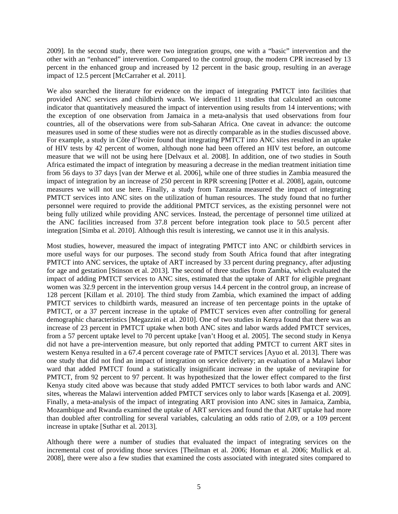2009]. In the second study, there were two integration groups, one with a "basic" intervention and the other with an "enhanced" intervention. Compared to the control group, the modern CPR increased by 13 percent in the enhanced group and increased by 12 percent in the basic group, resulting in an average impact of 12.5 percent [McCarraher et al. 2011].

We also searched the literature for evidence on the impact of integrating PMTCT into facilities that provided ANC services and childbirth wards. We identified 11 studies that calculated an outcome indicator that quantitatively measured the impact of intervention using results from 14 interventions; with the exception of one observation from Jamaica in a meta-analysis that used observations from four countries, all of the observations were from sub-Saharan Africa. One caveat in advance: the outcome measures used in some of these studies were not as directly comparable as in the studies discussed above. For example, a study in Côte d'Ivoire found that integrating PMTCT into ANC sites resulted in an uptake of HIV tests by 42 percent of women, although none had been offered an HIV test before, an outcome measure that we will not be using here [Delvaux et al. 2008]. In addition, one of two studies in South Africa estimated the impact of integration by measuring a decrease in the median treatment initiation time from 56 days to 37 days [van der Merwe et al. 2006], while one of three studies in Zambia measured the impact of integration by an increase of 250 percent in RPR screening [Potter et al. 2008], again, outcome measures we will not use here. Finally, a study from Tanzania measured the impact of integrating PMTCT services into ANC sites on the utilization of human resources. The study found that no further personnel were required to provide the additional PMTCT services, as the existing personnel were not being fully utilized while providing ANC services. Instead, the percentage of personnel time utilized at the ANC facilities increased from 37.8 percent before integration took place to 50.5 percent after integration [Simba et al. 2010]. Although this result is interesting, we cannot use it in this analysis.

Most studies, however, measured the impact of integrating PMTCT into ANC or childbirth services in more useful ways for our purposes. The second study from South Africa found that after integrating PMTCT into ANC services, the uptake of ART increased by 33 percent during pregnancy, after adjusting for age and gestation [Stinson et al. 2013]. The second of three studies from Zambia, which evaluated the impact of adding PMTCT services to ANC sites, estimated that the uptake of ART for eligible pregnant women was 32.9 percent in the intervention group versus 14.4 percent in the control group, an increase of 128 percent [Killam et al. 2010]. The third study from Zambia, which examined the impact of adding PMTCT services to childbirth wards, measured an increase of ten percentage points in the uptake of PMTCT, or a 37 percent increase in the uptake of PMTCT services even after controlling for general demographic characteristics [Megazzini et al. 2010]. One of two studies in Kenya found that there was an increase of 23 percent in PMTCT uptake when both ANC sites and labor wards added PMTCT services, from a 57 percent uptake level to 70 percent uptake [van't Hoog et al. 2005]. The second study in Kenya did not have a pre-intervention measure, but only reported that adding PMTCT to current ART sites in western Kenya resulted in a 67.4 percent coverage rate of PMTCT services [Ayuo et al. 2013]. There was one study that did not find an impact of integration on service delivery; an evaluation of a Malawi labor ward that added PMTCT found a statistically insignificant increase in the uptake of nevirapine for PMTCT, from 92 percent to 97 percent. It was hypothesized that the lower effect compared to the first Kenya study cited above was because that study added PMTCT services to both labor wards and ANC sites, whereas the Malawi intervention added PMTCT services only to labor wards [Kasenga et al. 2009]. Finally, a meta-analysis of the impact of integrating ART provision into ANC sites in Jamaica, Zambia, Mozambique and Rwanda examined the uptake of ART services and found the that ART uptake had more than doubled after controlling for several variables, calculating an odds ratio of 2.09, or a 109 percent increase in uptake [Suthar et al. 2013].

Although there were a number of studies that evaluated the impact of integrating services on the incremental cost of providing those services [Theilman et al. 2006; Homan et al. 2006; Mullick et al. 2008], there were also a few studies that examined the costs associated with integrated sites compared to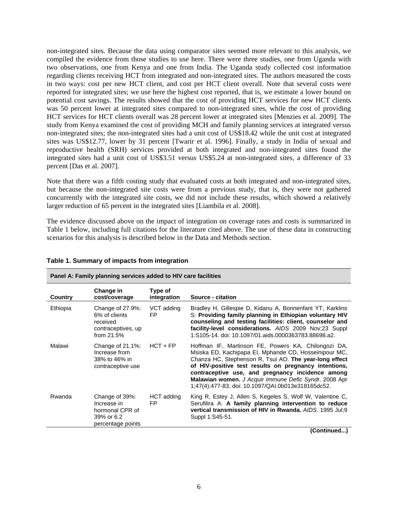non-integrated sites. Because the data using comparator sites seemed more relevant to this analysis, we compiled the evidence from those studies to use here. There were three studies, one from Uganda with two observations, one from Kenya and one from India. The Uganda study collected cost information regarding clients receiving HCT from integrated and non-integrated sites. The authors measured the costs in two ways: cost per new HCT client, and cost per HCT client overall. Note that several costs were reported for integrated sites; we use here the highest cost reported, that is, we estimate a lower bound on potential cost savings. The results showed that the cost of providing HCT services for new HCT clients was 50 percent lower at integrated sites compared to non-integrated sites, while the cost of providing HCT services for HCT clients overall was 28 percent lower at integrated sites [Menzies et al. 2009]. The study from Kenya examined the cost of providing MCH and family planning services at integrated versus non-integrated sites; the non-integrated sites had a unit cost of US\$18.42 while the unit cost at integrated sites was US\$12.77, lower by 31 percent [Twarir et al. 1996]. Finally, a study in India of sexual and reproductive health (SRH) services provided at both integrated and non-integrated sites found the integrated sites had a unit cost of US\$3.51 versus US\$5.24 at non-integrated sites, a difference of 33 percent [Das et al. 2007].

Note that there was a fifth costing study that evaluated costs at both integrated and non-integrated sites, but because the non-integrated site costs were from a previous study, that is, they were not gathered concurrently with the integrated site costs, we did not include these results, which showed a relatively larger reduction of 65 percent in the integrated sites [Liambila et al. 2008].

The evidence discussed above on the impact of integration on coverage rates and costs is summarized in Table 1 below, including full citations for the literature cited above. The use of these data in constructing scenarios for this analysis is described below in the Data and Methods section.

| Panel A: Pannily planning services added to HIV care facilities |                                                                                     |                        |                                                                                                                                                                                                                                                                                                                                                                                                    |  |  |
|-----------------------------------------------------------------|-------------------------------------------------------------------------------------|------------------------|----------------------------------------------------------------------------------------------------------------------------------------------------------------------------------------------------------------------------------------------------------------------------------------------------------------------------------------------------------------------------------------------------|--|--|
| Country                                                         | Change in<br>cost/coverage                                                          | Type of<br>integration | Source - citation                                                                                                                                                                                                                                                                                                                                                                                  |  |  |
| Ethiopia                                                        | Change of 27.9%:<br>6% of clients<br>received<br>contraceptives, up<br>from 21.5%   | VCT adding<br>FP.      | Bradley H, Gillespie D, Kidanu A, Bonnenfant YT, Karklins<br>S: Providing family planning in Ethiopian voluntary HIV<br>counseling and testing facilities: client, counselor and<br>facility-level considerations. AIDS 2009 Nov;23 Suppl<br>1:S105-14. doi: 10.1097/01.aids.0000363783.88698.a2.                                                                                                  |  |  |
| Malawi                                                          | Change of 21.1%:<br>Increase from<br>38% to 46% in<br>contraceptive use             | $HCT + FP$             | Hoffman IF, Martinson FE, Powers KA, Chilongozi DA,<br>Msiska ED, Kachipapa EI, Mphande CD, Hosseinipour MC,<br>Chanza HC, Stephenson R, Tsui AO. The year-long effect<br>of HIV-positive test results on pregnancy intentions,<br>contraceptive use, and pregnancy incidence among<br>Malawian women. J Acquir Immune Defic Syndr. 2008 Apr<br>1:47(4):477-83. doi: 10.1097/QAI.0b013e318165dc52. |  |  |
| Rwanda                                                          | Change of 39%:<br>Increase in<br>hormonal CPR of<br>39% or 6.2<br>percentage points | HCT adding<br>FP       | King R, Estey J, Allen S, Kegeles S, Wolf W, Valentine C,<br>Serufilira A: A family planning intervention to reduce<br>vertical transmission of HIV in Rwanda, AIDS, 1995 Jul:9<br>Suppl 1:S45-51.                                                                                                                                                                                                 |  |  |

#### **Table 1. Summary of impacts from integration**

**Panel A: Family planning services added to HIV care facilities** 

**(Continued...)**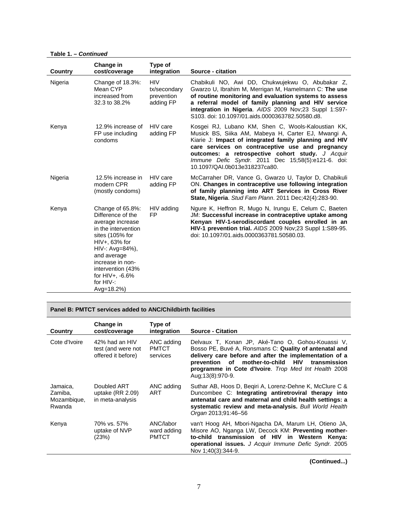**Table 1. –** *Continued*

 $\overline{a}$ 

| Country | Change in<br>cost/coverage                                                                                                                                                                                                                          | Type of<br>integration                                | Source - citation                                                                                                                                                                                                                                                                                                                                                  |
|---------|-----------------------------------------------------------------------------------------------------------------------------------------------------------------------------------------------------------------------------------------------------|-------------------------------------------------------|--------------------------------------------------------------------------------------------------------------------------------------------------------------------------------------------------------------------------------------------------------------------------------------------------------------------------------------------------------------------|
| Nigeria | Change of 18.3%:<br>Mean CYP<br>increased from<br>32.3 to 38.2%                                                                                                                                                                                     | <b>HIV</b><br>tx/secondary<br>prevention<br>adding FP | Chabikuli NO, Awi DD, Chukwujekwu O, Abubakar Z,<br>Gwarzo U, Ibrahim M, Merrigan M, Hamelmann C: The use<br>of routine monitoring and evaluation systems to assess<br>a referral model of family planning and HIV service<br>integration in Nigeria. AIDS 2009 Nov;23 Suppl 1:S97-<br>S103. doi: 10.1097/01.aids.0000363782.50580.d8.                             |
| Kenya   | 12.9% increase of<br>FP use including<br>condoms                                                                                                                                                                                                    | HIV care<br>adding FP                                 | Kosgei RJ, Lubano KM, Shen C, Wools-Kaloustian KK,<br>Musick BS, Siika AM, Mabeya H, Carter EJ, Mwangi A,<br>Kiarie J: Impact of integrated family planning and HIV<br>care services on contraceptive use and pregnancy<br>outcomes: a retrospective cohort study. J Acquir<br>Immune Defic Syndr. 2011 Dec 15;58(5):e121-6. doi:<br>10.1097/QAI.0b013e318237ca80. |
| Nigeria | 12.5% increase in<br>modern CPR<br>(mostly condoms)                                                                                                                                                                                                 | HIV care<br>adding FP                                 | McCarraher DR, Vance G, Gwarzo U, Taylor D, Chabikuli<br>ON. Changes in contraceptive use following integration<br>of family planning into ART Services in Cross River<br>State, Nigeria. Stud Fam Plann. 2011 Dec;42(4):283-90.                                                                                                                                   |
| Kenya   | Change of 65.8%:<br>Difference of the<br>average increase<br>in the intervention<br>sites (105% for<br>$HIV+$ , 63% for<br>$HIV -: Avg=84%$ ,<br>and average<br>increase in non-<br>intervention (43%<br>for HIV+, -6.6%<br>for HIV-:<br>Avg=18.2%) | HIV adding<br><b>FP</b>                               | Ngure K, Heffron R, Mugo N, Irungu E, Celum C, Baeten<br>JM: Successful increase in contraceptive uptake among<br>Kenyan HIV-1-serodiscordant couples enrolled in an<br>HIV-1 prevention trial. AIDS 2009 Nov;23 Suppl 1:S89-95.<br>doi: 10.1097/01.aids.0000363781.50580.03.                                                                                      |

**Panel B: PMTCT services added to ANC/Childbirth facilities** 

| Country                                      | Change in<br>cost/coverage                                 | Type of<br>integration                   | <b>Source - Citation</b>                                                                                                                                                                                                                                                                                 |
|----------------------------------------------|------------------------------------------------------------|------------------------------------------|----------------------------------------------------------------------------------------------------------------------------------------------------------------------------------------------------------------------------------------------------------------------------------------------------------|
| Cote d'Ivoire                                | 42% had an HIV<br>test (and were not<br>offered it before) | ANC adding<br><b>PMTCT</b><br>services   | Delvaux T, Konan JP, Aké-Tano O, Gohou-Kouassi V,<br>Bosso PE, Buvé A, Ronsmans C: Quality of antenatal and<br>delivery care before and after the implementation of a<br>prevention of mother-to-child HIV<br>transmission<br>programme in Cote d'Ivoire. Trop Med Int Health 2008<br>Aug: 13(8): 970-9. |
| Jamaica,<br>Zamiba,<br>Mozambique,<br>Rwanda | Doubled ART<br>uptake $(RR 2.09)$<br>in meta-analysis      | ANC adding<br>ART                        | Suthar AB, Hoos D, Begiri A, Lorenz-Dehne K, McClure C &<br>Duncombee C: Integrating antiretroviral therapy into<br>antenatal care and maternal and child health settings: a<br>systematic review and meta-analysis. Bull World Health<br>Organ 2013;91:46-56                                            |
| Kenya                                        | 70% vs. 57%<br>uptake of NVP<br>(23%)                      | ANC/labor<br>ward adding<br><b>PMTCT</b> | van't Hoog AH, Mbori-Ngacha DA, Marum LH, Otieno JA,<br>Misore AO, Nganga LW, Decock KM: Preventing mother-<br>to-child transmission of HIV in Western Kenya:<br>operational issues. J Acquir Immune Defic Syndr. 2005<br>Nov 1:40(3):344-9.                                                             |

**(Continued...)**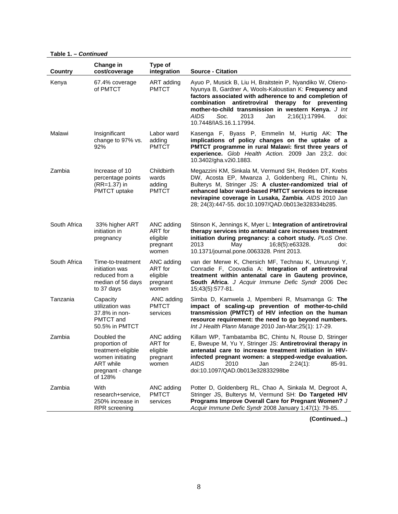**Table 1. –** *Continued*

| <b>Country</b> | Change in<br>cost/coverage                                                                                                 | Type of<br>integration                                 | <b>Source - Citation</b>                                                                                                                                                                                                                                                                                                                                                        |
|----------------|----------------------------------------------------------------------------------------------------------------------------|--------------------------------------------------------|---------------------------------------------------------------------------------------------------------------------------------------------------------------------------------------------------------------------------------------------------------------------------------------------------------------------------------------------------------------------------------|
| Kenya          | 67.4% coverage<br>of PMTCT                                                                                                 | ART adding<br><b>PMTCT</b>                             | Ayuo P, Musick B, Liu H, Braitstein P, Nyandiko W, Otieno-<br>Nyunya B, Gardner A, Wools-Kaloustian K: Frequency and<br>factors associated with adherence to and completion of<br>combination antiretroviral therapy for preventing<br>mother-to-child transmission in western Kenya. J Int<br>AIDS<br>Soc.<br>2013<br>2;16(1):17994.<br>Jan<br>doi:<br>10.7448/IAS.16.1.17994. |
| Malawi         | Insignificant<br>change to 97% vs.<br>92%                                                                                  | Labor ward<br>adding<br><b>PMTCT</b>                   | Kasenga F, Byass P, Emmelin M, Hurtig AK: The<br>implications of policy changes on the uptake of a<br>PMTCT programme in rural Malawi: first three years of<br>experience. Glob Health Action. 2009 Jan 23;2. doi:<br>10.3402/gha.v2i0.1883.                                                                                                                                    |
| Zambia         | Increase of 10<br>percentage points<br>(RR=1.37) in<br><b>PMTCT</b> uptake                                                 | Childbirth<br>wards<br>adding<br><b>PMTCT</b>          | Megazzini KM, Sinkala M, Vermund SH, Redden DT, Krebs<br>DW, Acosta EP, Mwanza J, Goldenberg RL, Chintu N,<br>Bulterys M, Stringer JS: A cluster-randomized trial of<br>enhanced labor ward-based PMTCT services to increase<br>nevirapine coverage in Lusaka, Zambia. AIDS 2010 Jan<br>28; 24(3):447-55. doi:10.1097/QAD.0b013e328334b285.                                     |
| South Africa   | 33% higher ART<br>initiation in<br>pregnancy                                                                               | ANC adding<br>ART for<br>eligible<br>pregnant<br>women | Stinson K, Jennings K, Myer L: Integration of antiretroviral<br>therapy services into antenatal care increases treatment<br>initiation during pregnancy: a cohort study. PLoS One.<br>2013<br>May<br>16;8(5):e63328.<br>doi:<br>10.1371/journal.pone.0063328. Print 2013.                                                                                                       |
| South Africa   | Time-to-treatment<br>initiation was<br>reduced from a<br>median of 56 days<br>to 37 days                                   | ANC adding<br>ART for<br>eligible<br>pregnant<br>women | van der Merwe K, Chersich MF, Technau K, Umurungi Y,<br>Conradie F, Coovadia A: Integration of antiretroviral<br>treatment within antenatal care in Gauteng province,<br>South Africa. J Acquir Immune Defic Syndr 2006 Dec<br>15;43(5):577-81.                                                                                                                                 |
| Tanzania       | Capacity<br>utilization was<br>37.8% in non-<br>PMTCT and<br>50.5% in PMTCT                                                | ANC adding<br><b>PMTCT</b><br>services                 | Simba D, Kamwela J, Mpembeni R, Msamanga G: The<br>impact of scaling-up prevention of mother-to-child<br>transmission (PMTCT) of HIV infection on the human<br>resource requirement: the need to go beyond numbers.<br>Int J Health Plann Manage 2010 Jan-Mar;25(1): 17-29.                                                                                                     |
| Zambia         | Doubled the<br>proportion of<br>treatment-eligible<br>women initiating<br><b>ART</b> while<br>pregnant - change<br>of 128% | ANC adding<br>ART for<br>eligible<br>pregnant<br>women | Killam WP, Tambatamba BC, Chintu N, Rouse D, Stringer<br>E, Bweupe M, Yu Y, Stringer JS: Antiretroviral therapy in<br>antenatal care to increase treatment initiation in HIV-<br>infected pregnant women: a stepped-wedge evaluation.<br>AIDS<br>2010<br>Jan<br>2:24(1):<br>85-91.<br>doi:10.1097/QAD.0b013e32833298be                                                          |
| Zambia         | With<br>research+service,<br>250% increase in<br><b>RPR</b> screening                                                      | ANC adding<br><b>PMTCT</b><br>services                 | Potter D, Goldenberg RL, Chao A, Sinkala M, Degroot A,<br>Stringer JS, Bulterys M, Vermund SH: Do Targeted HIV<br>Programs Improve Overall Care for Pregnant Women? J<br>Acquir Immune Defic Syndr 2008 January 1;47(1): 79-85.                                                                                                                                                 |

**(Continued...)**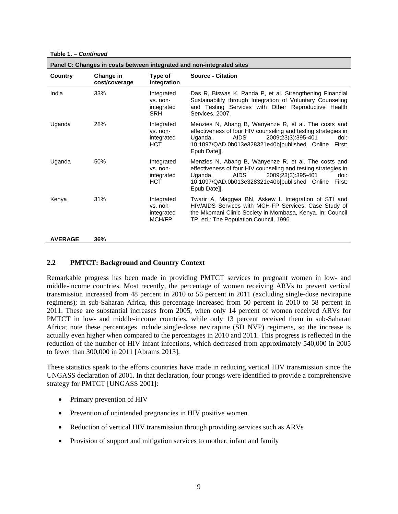**Table 1. –** *Continued*

|                | Panel C: Changes in costs between integrated and non-integrated sites |                                                    |                                                                                                                                                                                                                                                           |  |  |  |
|----------------|-----------------------------------------------------------------------|----------------------------------------------------|-----------------------------------------------------------------------------------------------------------------------------------------------------------------------------------------------------------------------------------------------------------|--|--|--|
| Country        | Change in<br>cost/coverage                                            | Type of<br>integration                             | <b>Source - Citation</b>                                                                                                                                                                                                                                  |  |  |  |
| India          | 33%                                                                   | Integrated<br>vs. non-<br>integrated<br>SRH        | Das R, Biswas K, Panda P, et al. Strengthening Financial<br>Sustainability through Integration of Voluntary Counseling<br>and Testing Services with Other Reproductive Health<br>Services, 2007.                                                          |  |  |  |
| Uganda         | 28%                                                                   | Integrated<br>vs. non-<br>integrated<br><b>HCT</b> | Menzies N, Abang B, Wanyenze R, et al. The costs and<br>effectiveness of four HIV counseling and testing strategies in<br><b>AIDS</b><br>2009;23(3):395-401<br>Uganda.<br>doi:<br>10.1097/QAD.0b013e328321e40b[published Online<br>First:<br>Epub Datell. |  |  |  |
| Uganda         | 50%                                                                   | Integrated<br>vs. non-<br>integrated<br>HCT.       | Menzies N, Abang B, Wanyenze R, et al. The costs and<br>effectiveness of four HIV counseling and testing strategies in<br><b>AIDS</b><br>2009;23(3):395-401<br>Uganda.<br>doi:<br>10.1097/QAD.0b013e328321e40b[published Online<br>First:<br>Epub Date].  |  |  |  |
| Kenya          | 31%                                                                   | Integrated<br>vs. non-<br>integrated<br>MCH/FP     | Twarir A, Maggwa BN, Askew I. Integration of STI and<br>HIV/AIDS Services with MCH-FP Services: Case Study of<br>the Mkomani Clinic Society in Mombasa, Kenya. In: Council<br>TP, ed.: The Population Council, 1996.                                      |  |  |  |
| <b>AVERAGE</b> | 36%                                                                   |                                                    |                                                                                                                                                                                                                                                           |  |  |  |

#### **2.2 PMTCT: Background and Country Context**

Remarkable progress has been made in providing PMTCT services to pregnant women in low- and middle-income countries. Most recently, the percentage of women receiving ARVs to prevent vertical transmission increased from 48 percent in 2010 to 56 percent in 2011 (excluding single-dose nevirapine regimens); in sub-Saharan Africa, this percentage increased from 50 percent in 2010 to 58 percent in 2011. These are substantial increases from 2005, when only 14 percent of women received ARVs for PMTCT in low- and middle-income countries, while only 13 percent received them in sub-Saharan Africa; note these percentages include single-dose nevirapine (SD NVP) regimens, so the increase is actually even higher when compared to the percentages in 2010 and 2011. This progress is reflected in the reduction of the number of HIV infant infections, which decreased from approximately 540,000 in 2005 to fewer than 300,000 in 2011 [Abrams 2013].

These statistics speak to the efforts countries have made in reducing vertical HIV transmission since the UNGASS declaration of 2001. In that declaration, four prongs were identified to provide a comprehensive strategy for PMTCT [UNGASS 2001]:

- Primary prevention of HIV
- Prevention of unintended pregnancies in HIV positive women
- Reduction of vertical HIV transmission through providing services such as ARVs
- Provision of support and mitigation services to mother, infant and family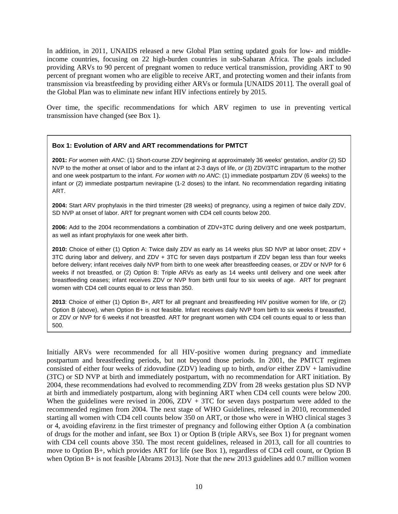In addition, in 2011, UNAIDS released a new Global Plan setting updated goals for low- and middleincome countries, focusing on 22 high-burden countries in sub-Saharan Africa. The goals included providing ARVs to 90 percent of pregnant women to reduce vertical transmission, providing ART to 90 percent of pregnant women who are eligible to receive ART, and protecting women and their infants from transmission via breastfeeding by providing either ARVs or formula [UNAIDS 2011]. The overall goal of the Global Plan was to eliminate new infant HIV infections entirely by 2015.

Over time, the specific recommendations for which ARV regimen to use in preventing vertical transmission have changed (see Box 1).

#### **Box 1: Evolution of ARV and ART recommendations for PMTCT**

**2001:** *For women with ANC*: (1) Short-course ZDV beginning at approximately 36 weeks' gestation, *and/or* (2) SD NVP to the mother at onset of labor and to the infant at 2-3 days of life, *or* (3) ZDV/3TC intrapartum to the mother and one week postpartum to the infant. *For women with no ANC*: (1) immediate postpartum ZDV (6 weeks) to the infant *or* (2) immediate postpartum nevirapine (1-2 doses) to the infant. No recommendation regarding initiating ART.

**2004:** Start ARV prophylaxis in the third trimester (28 weeks) of pregnancy, using a regimen of twice daily ZDV, SD NVP at onset of labor. ART for pregnant women with CD4 cell counts below 200.

**2006:** Add to the 2004 recommendations a combination of ZDV+3TC during delivery and one week postpartum, as well as infant prophylaxis for one week after birth.

**2010:** Choice of either (1) Option A: Twice daily ZDV as early as 14 weeks plus SD NVP at labor onset; ZDV + 3TC during labor and delivery, and ZDV + 3TC for seven days postpartum if ZDV began less than four weeks before delivery; infant receives daily NVP from birth to one week after breastfeeding ceases, or ZDV or NVP for 6 weeks if not breastfed, or (2) Option B: Triple ARVs as early as 14 weeks until delivery and one week after breastfeeding ceases; infant receives ZDV or NVP from birth until four to six weeks of age. ART for pregnant women with CD4 cell counts equal to or less than 350.

**2013**: Choice of either (1) Option B+, ART for all pregnant and breastfeeding HIV positive women for life, *or* (2) Option B (above), when Option B+ is not feasible. Infant receives daily NVP from birth to six weeks if breastfed, or ZDV *or* NVP for 6 weeks if not breastfed. ART for pregnant women with CD4 cell counts equal to or less than 500.

Initially ARVs were recommended for all HIV-positive women during pregnancy and immediate postpartum and breastfeeding periods, but not beyond those periods. In 2001, the PMTCT regimen consisted of either four weeks of zidovudine (ZDV) leading up to birth, *and/or* either ZDV + lamivudine (3TC) or SD NVP at birth and immediately postpartum, with no recommendation for ART initiation. By 2004, these recommendations had evolved to recommending ZDV from 28 weeks gestation plus SD NVP at birth and immediately postpartum, along with beginning ART when CD4 cell counts were below 200. When the guidelines were revised in 2006,  $ZDV + 3TC$  for seven days postpartum were added to the recommended regimen from 2004. The next stage of WHO Guidelines, released in 2010, recommended starting all women with CD4 cell counts below 350 on ART, or those who were in WHO clinical stages 3 or 4, avoiding efavirenz in the first trimester of pregnancy and following either Option A (a combination of drugs for the mother and infant, see Box 1) or Option B (triple ARVs, see Box 1) for pregnant women with CD4 cell counts above 350. The most recent guidelines, released in 2013, call for all countries to move to Option B+, which provides ART for life (see Box 1), regardless of CD4 cell count, or Option B when Option B+ is not feasible [Abrams 2013]. Note that the new 2013 guidelines add 0.7 million women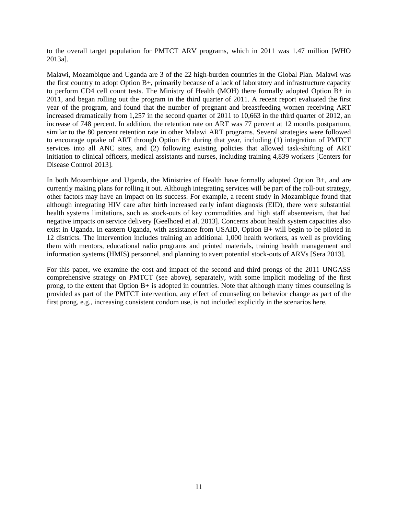to the overall target population for PMTCT ARV programs, which in 2011 was 1.47 million [WHO 2013a].

Malawi, Mozambique and Uganda are 3 of the 22 high-burden countries in the Global Plan. Malawi was the first country to adopt Option B+, primarily because of a lack of laboratory and infrastructure capacity to perform CD4 cell count tests. The Ministry of Health (MOH) there formally adopted Option B+ in 2011, and began rolling out the program in the third quarter of 2011. A recent report evaluated the first year of the program, and found that the number of pregnant and breastfeeding women receiving ART increased dramatically from 1,257 in the second quarter of 2011 to 10,663 in the third quarter of 2012, an increase of 748 percent. In addition, the retention rate on ART was 77 percent at 12 months postpartum, similar to the 80 percent retention rate in other Malawi ART programs. Several strategies were followed to encourage uptake of ART through Option B+ during that year, including (1) integration of PMTCT services into all ANC sites, and (2) following existing policies that allowed task-shifting of ART initiation to clinical officers, medical assistants and nurses, including training 4,839 workers [Centers for Disease Control 2013].

In both Mozambique and Uganda, the Ministries of Health have formally adopted Option B+, and are currently making plans for rolling it out. Although integrating services will be part of the roll-out strategy, other factors may have an impact on its success. For example, a recent study in Mozambique found that although integrating HIV care after birth increased early infant diagnosis (EID), there were substantial health systems limitations, such as stock-outs of key commodities and high staff absenteeism, that had negative impacts on service delivery [Geelhoed et al. 2013]. Concerns about health system capacities also exist in Uganda. In eastern Uganda, with assistance from USAID, Option B+ will begin to be piloted in 12 districts. The intervention includes training an additional 1,000 health workers, as well as providing them with mentors, educational radio programs and printed materials, training health management and information systems (HMIS) personnel, and planning to avert potential stock-outs of ARVs [Sera 2013].

For this paper, we examine the cost and impact of the second and third prongs of the 2011 UNGASS comprehensive strategy on PMTCT (see above), separately, with some implicit modeling of the first prong, to the extent that Option B+ is adopted in countries. Note that although many times counseling is provided as part of the PMTCT intervention, any effect of counseling on behavior change as part of the first prong, e.g., increasing consistent condom use, is not included explicitly in the scenarios here.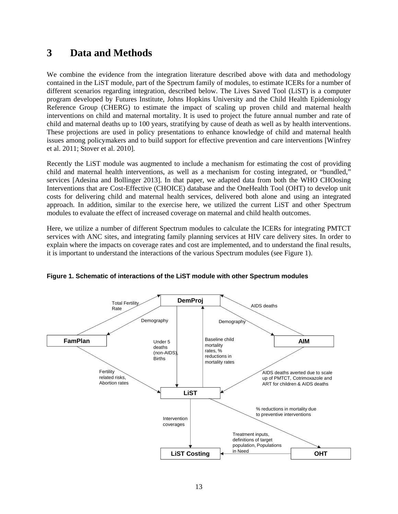### **3 Data and Methods**

We combine the evidence from the integration literature described above with data and methodology contained in the LiST module, part of the Spectrum family of modules, to estimate ICERs for a number of different scenarios regarding integration, described below. The Lives Saved Tool (LiST) is a computer program developed by Futures Institute, Johns Hopkins University and the Child Health Epidemiology Reference Group (CHERG) to estimate the impact of scaling up proven child and maternal health interventions on child and maternal mortality. It is used to project the future annual number and rate of child and maternal deaths up to 100 years, stratifying by cause of death as well as by health interventions. These projections are used in policy presentations to enhance knowledge of child and maternal health issues among policymakers and to build support for effective prevention and care interventions [Winfrey et al. 2011; Stover et al. 2010].

Recently the LiST module was augmented to include a mechanism for estimating the cost of providing child and maternal health interventions, as well as a mechanism for costing integrated, or "bundled," services [Adesina and Bollinger 2013]. In that paper, we adapted data from both the WHO CHOosing Interventions that are Cost-Effective (CHOICE) database and the OneHealth Tool (OHT) to develop unit costs for delivering child and maternal health services, delivered both alone and using an integrated approach. In addition, similar to the exercise here, we utilized the current LiST and other Spectrum modules to evaluate the effect of increased coverage on maternal and child health outcomes.

Here, we utilize a number of different Spectrum modules to calculate the ICERs for integrating PMTCT services with ANC sites, and integrating family planning services at HIV care delivery sites. In order to explain where the impacts on coverage rates and cost are implemented, and to understand the final results, it is important to understand the interactions of the various Spectrum modules (see Figure 1).



**Figure 1. Schematic of interactions of the LiST module with other Spectrum modules**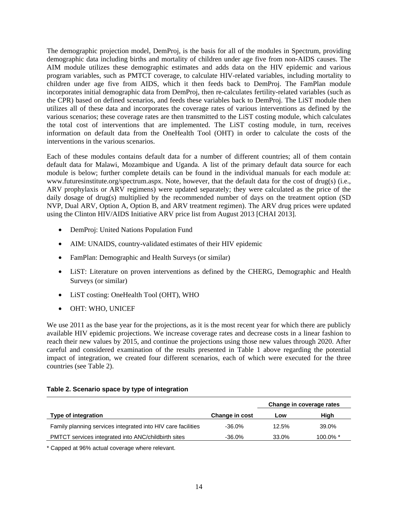The demographic projection model, DemProj, is the basis for all of the modules in Spectrum, providing demographic data including births and mortality of children under age five from non-AIDS causes. The AIM module utilizes these demographic estimates and adds data on the HIV epidemic and various program variables, such as PMTCT coverage, to calculate HIV-related variables, including mortality to children under age five from AIDS, which it then feeds back to DemProj. The FamPlan module incorporates initial demographic data from DemProj, then re-calculates fertility-related variables (such as the CPR) based on defined scenarios, and feeds these variables back to DemProj. The LiST module then utilizes all of these data and incorporates the coverage rates of various interventions as defined by the various scenarios; these coverage rates are then transmitted to the LiST costing module, which calculates the total cost of interventions that are implemented. The LiST costing module, in turn, receives information on default data from the OneHealth Tool (OHT) in order to calculate the costs of the interventions in the various scenarios.

Each of these modules contains default data for a number of different countries; all of them contain default data for Malawi, Mozambique and Uganda. A list of the primary default data source for each module is below; further complete details can be found in the individual manuals for each module at: www.futuresinstitute.org/spectrum.aspx. Note, however, that the default data for the cost of drug(s) (i.e., ARV prophylaxis or ARV regimens) were updated separately; they were calculated as the price of the daily dosage of drug(s) multiplied by the recommended number of days on the treatment option (SD NVP, Dual ARV, Option A, Option B, and ARV treatment regimen). The ARV drug prices were updated using the Clinton HIV/AIDS Initiative ARV price list from August 2013 [CHAI 2013].

- DemProj: United Nations Population Fund
- AIM: UNAIDS, country-validated estimates of their HIV epidemic
- FamPlan: Demographic and Health Surveys (or similar)
- LiST: Literature on proven interventions as defined by the CHERG, Demographic and Health Surveys (or similar)
- LiST costing: OneHealth Tool (OHT), WHO
- OHT: WHO, UNICEF

We use 2011 as the base year for the projections, as it is the most recent year for which there are publicly available HIV epidemic projections. We increase coverage rates and decrease costs in a linear fashion to reach their new values by 2015, and continue the projections using those new values through 2020. After careful and considered examination of the results presented in Table 1 above regarding the potential impact of integration, we created four different scenarios, each of which were executed for the three countries (see Table 2).

|                                                              |                | Change in coverage rates |             |
|--------------------------------------------------------------|----------------|--------------------------|-------------|
| Type of integration                                          | Change in cost | Low                      | High        |
| Family planning services integrated into HIV care facilities | $-36.0\%$      | 12.5%                    | 39.0%       |
| PMTCT services integrated into ANC/childbirth sites          | $-36.0\%$      | 33.0%                    | $100.0\%$ * |

#### **Table 2. Scenario space by type of integration**

\* Capped at 96% actual coverage where relevant.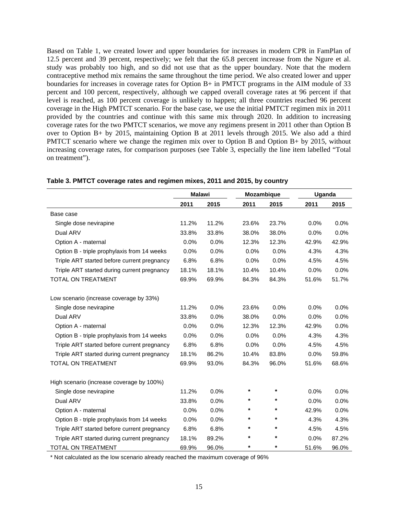Based on Table 1, we created lower and upper boundaries for increases in modern CPR in FamPlan of 12.5 percent and 39 percent, respectively; we felt that the 65.8 percent increase from the Ngure et al. study was probably too high, and so did not use that as the upper boundary. Note that the modern contraceptive method mix remains the same throughout the time period. We also created lower and upper boundaries for increases in coverage rates for Option B+ in PMTCT programs in the AIM module of 33 percent and 100 percent, respectively, although we capped overall coverage rates at 96 percent if that level is reached, as 100 percent coverage is unlikely to happen; all three countries reached 96 percent coverage in the High PMTCT scenario. For the base case, we use the initial PMTCT regimen mix in 2011 provided by the countries and continue with this same mix through 2020. In addition to increasing coverage rates for the two PMTCT scenarios, we move any regimens present in 2011 other than Option B over to Option B+ by 2015, maintaining Option B at 2011 levels through 2015. We also add a third PMTCT scenario where we change the regimen mix over to Option B and Option B+ by 2015, without increasing coverage rates, for comparison purposes (see Table 3, especially the line item labelled "Total on treatment").

|                                             | <b>Malawi</b> |       |               | Mozambique |       | Uganda |  |
|---------------------------------------------|---------------|-------|---------------|------------|-------|--------|--|
|                                             | 2011          | 2015  | 2011          | 2015       | 2011  | 2015   |  |
| Base case                                   |               |       |               |            |       |        |  |
| Single dose nevirapine                      | 11.2%         | 11.2% | 23.6%         | 23.7%      | 0.0%  | 0.0%   |  |
| Dual ARV                                    | 33.8%         | 33.8% | 38.0%         | 38.0%      | 0.0%  | 0.0%   |  |
| Option A - maternal                         | 0.0%          | 0.0%  | 12.3%         | 12.3%      | 42.9% | 42.9%  |  |
| Option B - triple prophylaxis from 14 weeks | 0.0%          | 0.0%  | 0.0%          | 0.0%       | 4.3%  | 4.3%   |  |
| Triple ART started before current pregnancy | 6.8%          | 6.8%  | 0.0%          | 0.0%       | 4.5%  | 4.5%   |  |
| Triple ART started during current pregnancy | 18.1%         | 18.1% | 10.4%         | 10.4%      | 0.0%  | 0.0%   |  |
| TOTAL ON TREATMENT                          | 69.9%         | 69.9% | 84.3%         | 84.3%      | 51.6% | 51.7%  |  |
| Low scenario (increase coverage by 33%)     |               |       |               |            |       |        |  |
| Single dose nevirapine                      | 11.2%         | 0.0%  | 23.6%         | 0.0%       | 0.0%  | 0.0%   |  |
| Dual ARV                                    | 33.8%         | 0.0%  | 38.0%         | 0.0%       | 0.0%  | 0.0%   |  |
| Option A - maternal                         | 0.0%          | 0.0%  | 12.3%         | 12.3%      | 42.9% | 0.0%   |  |
| Option B - triple prophylaxis from 14 weeks | 0.0%          | 0.0%  | 0.0%          | 0.0%       | 4.3%  | 4.3%   |  |
| Triple ART started before current pregnancy | 6.8%          | 6.8%  | 0.0%          | 0.0%       | 4.5%  | 4.5%   |  |
| Triple ART started during current pregnancy | 18.1%         | 86.2% | 10.4%         | 83.8%      | 0.0%  | 59.8%  |  |
| TOTAL ON TREATMENT                          | 69.9%         | 93.0% | 84.3%         | 96.0%      | 51.6% | 68.6%  |  |
| High scenario (increase coverage by 100%)   |               |       |               |            |       |        |  |
| Single dose nevirapine                      | 11.2%         | 0.0%  | $\pmb{\star}$ | $\star$    | 0.0%  | 0.0%   |  |
| Dual ARV                                    | 33.8%         | 0.0%  | *             | *          | 0.0%  | 0.0%   |  |
| Option A - maternal                         | 0.0%          | 0.0%  | $\star$       | $\star$    | 42.9% | 0.0%   |  |
| Option B - triple prophylaxis from 14 weeks | 0.0%          | 0.0%  | *             | *          | 4.3%  | 4.3%   |  |
| Triple ART started before current pregnancy | 6.8%          | 6.8%  | $\star$       | *          | 4.5%  | 4.5%   |  |
| Triple ART started during current pregnancy | 18.1%         | 89.2% | $\star$       | *          | 0.0%  | 87.2%  |  |
| <b>TOTAL ON TREATMENT</b>                   | 69.9%         | 96.0% | $\star$       | $\star$    | 51.6% | 96.0%  |  |

#### **Table 3. PMTCT coverage rates and regimen mixes, 2011 and 2015, by country**

\* Not calculated as the low scenario already reached the maximum coverage of 96%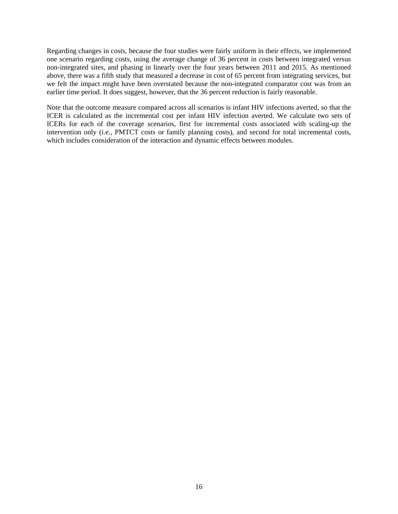Regarding changes in costs, because the four studies were fairly uniform in their effects, we implemented one scenario regarding costs, using the average change of 36 percent in costs between integrated versus non-integrated sites, and phasing in linearly over the four years between 2011 and 2015. As mentioned above, there was a fifth study that measured a decrease in cost of 65 percent from integrating services, but we felt the impact might have been overstated because the non-integrated comparator cost was from an earlier time period. It does suggest, however, that the 36 percent reduction is fairly reasonable.

Note that the outcome measure compared across all scenarios is infant HIV infections averted, so that the ICER is calculated as the incremental cost per infant HIV infection averted. We calculate two sets of ICERs for each of the coverage scenarios, first for incremental costs associated with scaling-up the intervention only (i.e., PMTCT costs or family planning costs), and second for total incremental costs, which includes consideration of the interaction and dynamic effects between modules.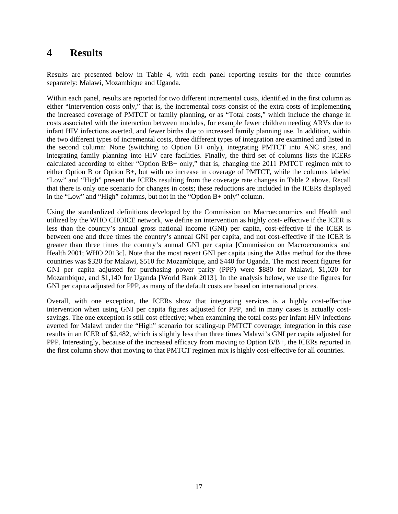### **4 Results**

Results are presented below in Table 4, with each panel reporting results for the three countries separately: Malawi, Mozambique and Uganda.

Within each panel, results are reported for two different incremental costs, identified in the first column as either "Intervention costs only," that is, the incremental costs consist of the extra costs of implementing the increased coverage of PMTCT or family planning, or as "Total costs," which include the change in costs associated with the interaction between modules, for example fewer children needing ARVs due to infant HIV infections averted, and fewer births due to increased family planning use. In addition, within the two different types of incremental costs, three different types of integration are examined and listed in the second column: None (switching to Option B+ only), integrating PMTCT into ANC sites, and integrating family planning into HIV care facilities. Finally, the third set of columns lists the ICERs calculated according to either "Option B/B+ only," that is, changing the 2011 PMTCT regimen mix to either Option B or Option B+, but with no increase in coverage of PMTCT, while the columns labeled "Low" and "High" present the ICERs resulting from the coverage rate changes in Table 2 above. Recall that there is only one scenario for changes in costs; these reductions are included in the ICERs displayed in the "Low" and "High" columns, but not in the "Option B+ only" column.

Using the standardized definitions developed by the Commission on Macroeconomics and Health and utilized by the WHO CHOICE network, we define an intervention as highly cost- effective if the ICER is less than the country's annual gross national income (GNI) per capita, cost-effective if the ICER is between one and three times the country's annual GNI per capita, and not cost-effective if the ICER is greater than three times the country's annual GNI per capita [Commission on Macroeconomics and Health 2001; WHO 2013c]. Note that the most recent GNI per capita using the Atlas method for the three countries was \$320 for Malawi, \$510 for Mozambique, and \$440 for Uganda. The most recent figures for GNI per capita adjusted for purchasing power parity (PPP) were \$880 for Malawi, \$1,020 for Mozambique, and \$1,140 for Uganda [World Bank 2013]. In the analysis below, we use the figures for GNI per capita adjusted for PPP, as many of the default costs are based on international prices.

Overall, with one exception, the ICERs show that integrating services is a highly cost-effective intervention when using GNI per capita figures adjusted for PPP, and in many cases is actually costsavings. The one exception is still cost-effective; when examining the total costs per infant HIV infections averted for Malawi under the "High" scenario for scaling-up PMTCT coverage; integration in this case results in an ICER of \$2,482, which is slightly less than three times Malawi's GNI per capita adjusted for PPP. Interestingly, because of the increased efficacy from moving to Option B/B+, the ICERs reported in the first column show that moving to that PMTCT regimen mix is highly cost-effective for all countries.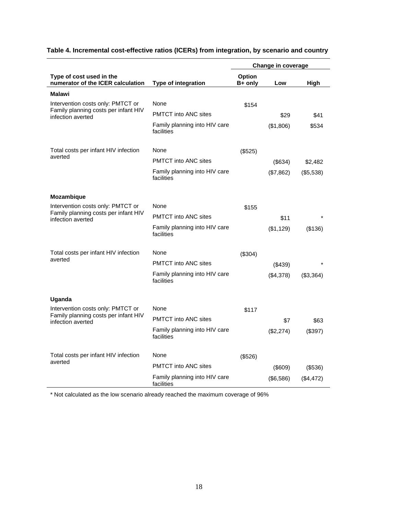|                                                               |                                             | Change in coverage |               |            |
|---------------------------------------------------------------|---------------------------------------------|--------------------|---------------|------------|
| Type of cost used in the<br>numerator of the ICER calculation | Type of integration                         | Option<br>B+ only  | Low           | High       |
| <b>Malawi</b>                                                 |                                             |                    |               |            |
| Intervention costs only: PMTCT or                             | None                                        | \$154              |               |            |
| Family planning costs per infant HIV<br>infection averted     | <b>PMTCT</b> into ANC sites                 |                    | \$29          | \$41       |
|                                                               | Family planning into HIV care<br>facilities |                    | (\$1,806)     | \$534      |
| Total costs per infant HIV infection                          | None                                        | (\$525)            |               |            |
| averted                                                       | <b>PMTCT</b> into ANC sites                 |                    | (\$634)       | \$2,482    |
|                                                               | Family planning into HIV care<br>facilities |                    | (\$7,862)     | (\$5,538)  |
| Mozambique                                                    |                                             |                    |               |            |
| Intervention costs only: PMTCT or                             | None                                        | \$155              |               |            |
| Family planning costs per infant HIV<br>infection averted     | <b>PMTCT</b> into ANC sites                 |                    | \$11          |            |
|                                                               | Family planning into HIV care<br>facilities |                    | (\$1,129)     | (\$136)    |
| Total costs per infant HIV infection                          | None                                        | (\$304)            |               |            |
| averted                                                       | <b>PMTCT</b> into ANC sites                 |                    | $($ \$439 $)$ |            |
|                                                               | Family planning into HIV care<br>facilities |                    | (\$4,378)     | (\$3,364)  |
| Uganda                                                        |                                             |                    |               |            |
| Intervention costs only: PMTCT or                             | None                                        | \$117              |               |            |
| Family planning costs per infant HIV<br>infection averted     | <b>PMTCT</b> into ANC sites                 |                    | \$7           | \$63       |
|                                                               | Family planning into HIV care<br>facilities |                    | (\$2,274)     | (\$397)    |
| Total costs per infant HIV infection                          | None                                        | (\$526)            |               |            |
| averted                                                       | <b>PMTCT</b> into ANC sites                 |                    | (\$609)       | $($ \$536) |
|                                                               | Family planning into HIV care<br>facilities |                    | (\$6,586)     | (\$4,472)  |

### **Table 4. Incremental cost-effective ratios (ICERs) from integration, by scenario and country**

\* Not calculated as the low scenario already reached the maximum coverage of 96%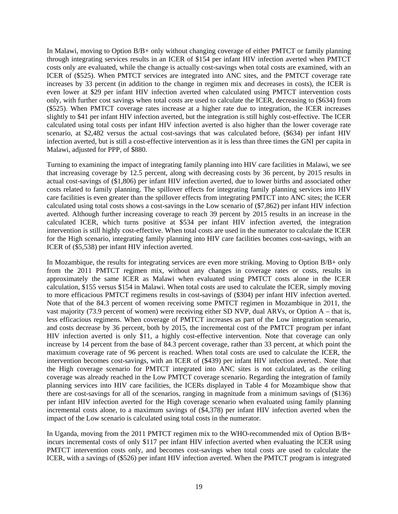In Malawi, moving to Option B/B+ only without changing coverage of either PMTCT or family planning through integrating services results in an ICER of \$154 per infant HIV infection averted when PMTCT costs only are evaluated, while the change is actually cost-savings when total costs are examined, with an ICER of (\$525). When PMTCT services are integrated into ANC sites, and the PMTCT coverage rate increases by 33 percent (in addition to the change in regimen mix and decreases in costs), the ICER is even lower at \$29 per infant HIV infection averted when calculated using PMTCT intervention costs only, with further cost savings when total costs are used to calculate the ICER, decreasing to (\$634) from (\$525). When PMTCT coverage rates increase at a higher rate due to integration, the ICER increases slightly to \$41 per infant HIV infection averted, but the integration is still highly cost-effective. The ICER calculated using total costs per infant HIV infection averted is also higher than the lower coverage rate scenario, at \$2,482 versus the actual cost-savings that was calculated before, (\$634) per infant HIV infection averted, but is still a cost-effective intervention as it is less than three times the GNI per capita in Malawi, adjusted for PPP, of \$880.

Turning to examining the impact of integrating family planning into HIV care facilities in Malawi, we see that increasing coverage by 12.5 percent, along with decreasing costs by 36 percent, by 2015 results in actual cost-savings of (\$1,806) per infant HIV infection averted, due to lower births and associated other costs related to family planning. The spillover effects for integrating family planning services into HIV care facilities is even greater than the spillover effects from integrating PMTCT into ANC sites; the ICER calculated using total costs shows a cost-savings in the Low scenario of (\$7,862) per infant HIV infection averted. Although further increasing coverage to reach 39 percent by 2015 results in an increase in the calculated ICER, which turns positive at \$534 per infant HIV infection averted, the integration intervention is still highly cost-effective. When total costs are used in the numerator to calculate the ICER for the High scenario, integrating family planning into HIV care facilities becomes cost-savings, with an ICER of (\$5,538) per infant HIV infection averted.

In Mozambique, the results for integrating services are even more striking. Moving to Option B/B+ only from the 2011 PMTCT regimen mix, without any changes in coverage rates or costs, results in approximately the same ICER as Malawi when evaluated using PMTCT costs alone in the ICER calculation, \$155 versus \$154 in Malawi. When total costs are used to calculate the ICER, simply moving to more efficacious PMTCT regimens results in cost-savings of (\$304) per infant HIV infection averted. Note that of the 84.3 percent of women receiving some PMTCT regimen in Mozambique in 2011, the vast majority (73.9 percent of women) were receiving either SD NVP, dual ARVs, or Option A – that is, less efficacious regimens. When coverage of PMTCT increases as part of the Low integration scenario, and costs decrease by 36 percent, both by 2015, the incremental cost of the PMTCT program per infant HIV infection averted is only \$11, a highly cost-effective intervention. Note that coverage can only increase by 14 percent from the base of 84.3 percent coverage, rather than 33 percent, at which point the maximum coverage rate of 96 percent is reached. When total costs are used to calculate the ICER, the intervention becomes cost-savings, with an ICER of (\$439) per infant HIV infection averted.. Note that the High coverage scenario for PMTCT integrated into ANC sites is not calculated, as the ceiling coverage was already reached in the Low PMTCT coverage scenario. Regarding the integration of family planning services into HIV care facilities, the ICERs displayed in Table 4 for Mozambique show that there are cost-savings for all of the scenarios, ranging in magnitude from a minimum savings of (\$136) per infant HIV infection averted for the High coverage scenario when evaluated using family planning incremental costs alone, to a maximum savings of (\$4,378) per infant HIV infection averted when the impact of the Low scenario is calculated using total costs in the numerator.

In Uganda, moving from the 2011 PMTCT regimen mix to the WHO-recommended mix of Option B/B+ incurs incremental costs of only \$117 per infant HIV infection averted when evaluating the ICER using PMTCT intervention costs only, and becomes cost-savings when total costs are used to calculate the ICER, with a savings of (\$526) per infant HIV infection averted. When the PMTCT program is integrated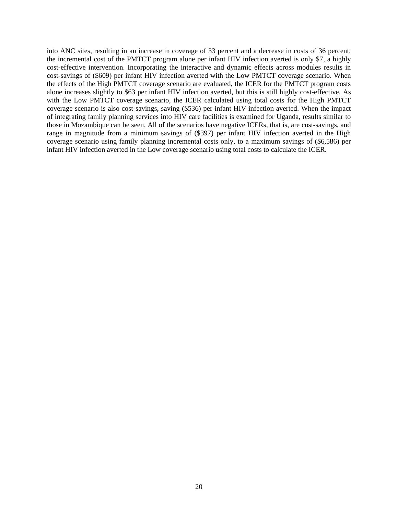into ANC sites, resulting in an increase in coverage of 33 percent and a decrease in costs of 36 percent, the incremental cost of the PMTCT program alone per infant HIV infection averted is only \$7, a highly cost-effective intervention. Incorporating the interactive and dynamic effects across modules results in cost-savings of (\$609) per infant HIV infection averted with the Low PMTCT coverage scenario. When the effects of the High PMTCT coverage scenario are evaluated, the ICER for the PMTCT program costs alone increases slightly to \$63 per infant HIV infection averted, but this is still highly cost-effective. As with the Low PMTCT coverage scenario, the ICER calculated using total costs for the High PMTCT coverage scenario is also cost-savings, saving (\$536) per infant HIV infection averted. When the impact of integrating family planning services into HIV care facilities is examined for Uganda, results similar to those in Mozambique can be seen. All of the scenarios have negative ICERs, that is, are cost-savings, and range in magnitude from a minimum savings of (\$397) per infant HIV infection averted in the High coverage scenario using family planning incremental costs only, to a maximum savings of (\$6,586) per infant HIV infection averted in the Low coverage scenario using total costs to calculate the ICER.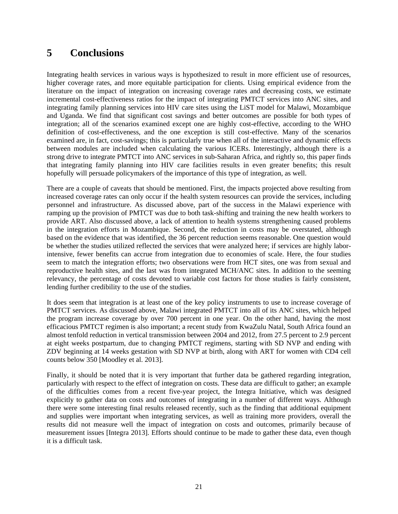### **5 Conclusions**

Integrating health services in various ways is hypothesized to result in more efficient use of resources, higher coverage rates, and more equitable participation for clients. Using empirical evidence from the literature on the impact of integration on increasing coverage rates and decreasing costs, we estimate incremental cost-effectiveness ratios for the impact of integrating PMTCT services into ANC sites, and integrating family planning services into HIV care sites using the LiST model for Malawi, Mozambique and Uganda. We find that significant cost savings and better outcomes are possible for both types of integration; all of the scenarios examined except one are highly cost-effective, according to the WHO definition of cost-effectiveness, and the one exception is still cost-effective. Many of the scenarios examined are, in fact, cost-savings; this is particularly true when all of the interactive and dynamic effects between modules are included when calculating the various ICERs. Interestingly, although there is a strong drive to integrate PMTCT into ANC services in sub-Saharan Africa, and rightly so, this paper finds that integrating family planning into HIV care facilities results in even greater benefits; this result hopefully will persuade policymakers of the importance of this type of integration, as well.

There are a couple of caveats that should be mentioned. First, the impacts projected above resulting from increased coverage rates can only occur if the health system resources can provide the services, including personnel and infrastructure. As discussed above, part of the success in the Malawi experience with ramping up the provision of PMTCT was due to both task-shifting and training the new health workers to provide ART. Also discussed above, a lack of attention to health systems strengthening caused problems in the integration efforts in Mozambique. Second, the reduction in costs may be overstated, although based on the evidence that was identified, the 36 percent reduction seems reasonable. One question would be whether the studies utilized reflected the services that were analyzed here; if services are highly laborintensive, fewer benefits can accrue from integration due to economies of scale. Here, the four studies seem to match the integration efforts; two observations were from HCT sites, one was from sexual and reproductive health sites, and the last was from integrated MCH/ANC sites. In addition to the seeming relevancy, the percentage of costs devoted to variable cost factors for those studies is fairly consistent, lending further credibility to the use of the studies.

It does seem that integration is at least one of the key policy instruments to use to increase coverage of PMTCT services. As discussed above, Malawi integrated PMTCT into all of its ANC sites, which helped the program increase coverage by over 700 percent in one year. On the other hand, having the most efficacious PMTCT regimen is also important; a recent study from KwaZulu Natal, South Africa found an almost tenfold reduction in vertical transmission between 2004 and 2012, from 27.5 percent to 2.9 percent at eight weeks postpartum, due to changing PMTCT regimens, starting with SD NVP and ending with ZDV beginning at 14 weeks gestation with SD NVP at birth, along with ART for women with CD4 cell counts below 350 [Moodley et al. 2013].

Finally, it should be noted that it is very important that further data be gathered regarding integration, particularly with respect to the effect of integration on costs. These data are difficult to gather; an example of the difficulties comes from a recent five-year project, the Integra Initiative, which was designed explicitly to gather data on costs and outcomes of integrating in a number of different ways. Although there were some interesting final results released recently, such as the finding that additional equipment and supplies were important when integrating services, as well as training more providers, overall the results did not measure well the impact of integration on costs and outcomes, primarily because of measurement issues [Integra 2013]. Efforts should continue to be made to gather these data, even though it is a difficult task.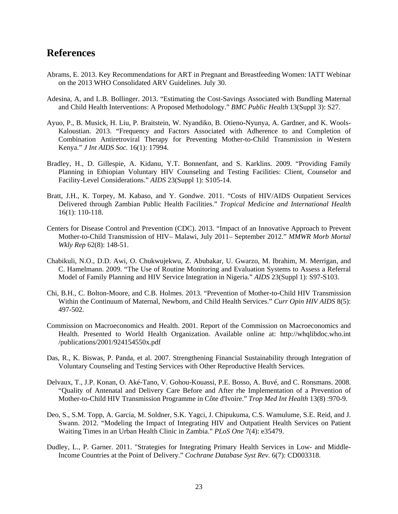### **References**

- Abrams, E. 2013. Key Recommendations for ART in Pregnant and Breastfeeding Women: IATT Webinar on the 2013 WHO Consolidated ARV Guidelines. July 30.
- Adesina, A, and L.B. Bollinger. 2013. "Estimating the Cost-Savings Associated with Bundling Maternal and Child Health Interventions: A Proposed Methodology." *BMC Public Health* 13(Suppl 3): S27.
- Ayuo, P., B. Musick, H. Liu, P. Braitstein, W. Nyandiko, B. Otieno-Nyunya, A. Gardner, and K. Wools-Kaloustian. 2013. "Frequency and Factors Associated with Adherence to and Completion of Combination Antiretroviral Therapy for Preventing Mother-to-Child Transmission in Western Kenya." *J Int AIDS Soc.* 16(1): 17994.
- Bradley, H., D. Gillespie, A. Kidanu, Y.T. Bonnenfant, and S. Karklins. 2009. "Providing Family Planning in Ethiopian Voluntary HIV Counseling and Testing Facilities: Client, Counselor and Facility-Level Considerations." *AIDS* 23(Suppl 1): S105-14.
- Bratt, J.H., K. Torpey, M. Kabaso, and Y. Gondwe. 2011. "Costs of HIV/AIDS Outpatient Services Delivered through Zambian Public Health Facilities." *Tropical Medicine and International Health* 16(1): 110-118.
- Centers for Disease Control and Prevention (CDC). 2013. "Impact of an Innovative Approach to Prevent Mother-to-Child Transmission of HIV– Malawi, July 2011– September 2012." *MMWR Morb Mortal Wkly Rep* 62(8): 148-51.
- Chabikuli, N.O., D.D. Awi, O. Chukwujekwu, Z. Abubakar, U. Gwarzo, M. Ibrahim, M. Merrigan, and C. Hamelmann. 2009. "The Use of Routine Monitoring and Evaluation Systems to Assess a Referral Model of Family Planning and HIV Service Integration in Nigeria." *AIDS* 23(Suppl 1): S97-S103.
- Chi, B.H., C. Bolton-Moore, and C.B. Holmes. 2013. "Prevention of Mother-to-Child HIV Transmission Within the Continuum of Maternal, Newborn, and Child Health Services." *Curr Opin HIV AIDS* 8(5): 497-502.
- Commission on Macroeconomics and Health. 2001. Report of the Commission on Macroeconomics and Health. Presented to World Health Organization. Available online at: http://whqlibdoc.who.int /publications/2001/924154550x.pdf
- Das, R., K. Biswas, P. Panda, et al. 2007. Strengthening Financial Sustainability through Integration of Voluntary Counseling and Testing Services with Other Reproductive Health Services.
- Delvaux, T., J.P. Konan, O. Aké-Tano, V. Gohou-Kouassi, P.E. Bosso, A. Buvé, and C. Ronsmans. 2008. "Quality of Antenatal and Delivery Care Before and After rhe Implementation of a Prevention of Mother-to-Child HIV Transmission Programme in Côte d'Ivoire." *Trop Med Int Health* 13(8) :970-9.
- Deo, S., S.M. Topp, A. Garcia, M. Soldner, S.K. Yagci, J. Chipukuma, C.S. Wamulume, S.E. Reid, and J. Swann. 2012. "Modeling the Impact of Integrating HIV and Outpatient Health Services on Patient Waiting Times in an Urban Health Clinic in Zambia." *PLoS One* 7(4): e35479.
- Dudley, L., P. Garner. 2011. "Strategies for Integrating Primary Health Services in Low- and Middle-Income Countries at the Point of Delivery." *Cochrane Database Syst Rev.* 6(7): CD003318.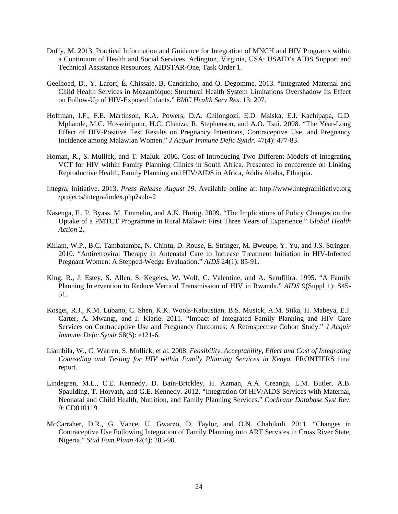- Duffy, M. 2013. Practical Information and Guidance for Integration of MNCH and HIV Programs within a Continuum of Health and Social Services. Arlington, Virginia, USA: USAID's AIDS Support and Technical Assistance Resources, AIDSTAR-One, Task Order 1.
- Geelhoed, D., Y. Lafort, É. Chissale, B. Candrinho, and O. Degomme. 2013. "Integrated Maternal and Child Health Services in Mozambique: Structural Health System Limitations Overshadow Its Effect on Follow-Up of HIV-Exposed Infants." *BMC Health Serv Res*. 13: 207.
- Hoffman, I.F., F.E. Martinson, K.A. Powers, D.A. Chilongozi, E.D. Msiska, E.I. Kachipapa, C.D. Mphande, M.C. Hosseinipour, H.C. Chanza, R. Stephenson, and A.O. Tsui. 2008. "The Year-Long Effect of HIV-Positive Test Results on Pregnancy Intentions, Contraceptive Use, and Pregnancy Incidence among Malawian Women." *J Acquir Immune Defic Syndr.* 47(4): 477-83.
- Homan, R., S. Mullick, and T. Maluk. 2006. Cost of Introducing Two Different Models of Integrating VCT for HIV within Family Planning Clinics in South Africa. Presented in conference on Linking Reproductive Health, Family Planning and HIV/AIDS in Africa, Addis Ababa, Ethiopia.
- Integra, Initiative. 2013. *Press Release August 19*. Available online at: http://www.integrainitiative.org /projects/integra/index.php?sub=2
- Kasenga, F., P. Byass, M. Emmelin, and A.K. Hurtig. 2009. "The Implications of Policy Changes on the Uptake of a PMTCT Programme in Rural Malawi: First Three Years of Experience." *Global Health Action* 2.
- Killam, W.P., B.C. Tambatamba, N. Chintu, D. Rouse, E. Stringer, M. Bweupe, Y. Yu, and J.S. Stringer. 2010. "Antiretroviral Therapy in Antenatal Care to Increase Treatment Initiation in HIV-Infected Pregnant Women: A Stepped-Wedge Evaluation." *AIDS* 24(1): 85-91.
- King, R., J. Estey, S. Allen, S. Kegeles, W. Wolf, C. Valentine, and A. Serufilira. 1995. "A Family Planning Intervention to Reduce Vertical Transmission of HIV in Rwanda." *AIDS* 9(Suppl 1): S45- 51.
- Kosgei, R.J., K.M. Lubano, C. Shen, K.K. Wools-Kaloustian, B.S. Musick, A.M. Siika, H. Mabeya, E.J. Carter, A. Mwangi, and J. Kiarie. 2011. "Impact of Integrated Family Planning and HIV Care Services on Contraceptive Use and Pregnancy Outcomes: A Retrospective Cohort Study." *J Acquir Immune Defic Syndr* 58(5): e121-6.
- Liambila, W., C. Warren, S. Mullick, et al. 2008. *Feasibility, Acceptability, Effect and Cost of Integrating Counseling and Testing for HIV within Family Planning Services in Kenya.* FRONTIERS final report.
- Lindegren, M.L., C.E. Kennedy, D. Bain-Brickley, H. Azman, A.A. Creanga, L.M. Butler, A.B. Spaulding, T. Horvath, and G.E. Kennedy. 2012. "Integration Of HIV/AIDS Services with Maternal, Neonatal and Child Health, Nutrition, and Family Planning Services." *Cochrane Database Syst Rev*. 9: CD010119.
- McCarraher, D.R., G. Vance, U. Gwarzo, D. Taylor, and O.N. Chabikuli. 2011. "Changes in Contraceptive Use Following Integration of Family Planning into ART Services in Cross River State, Nigeria." *Stud Fam Plann* 42(4): 283-90.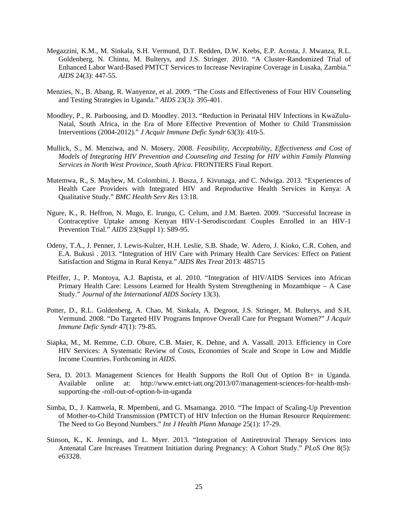- Megazzini, K.M., M. Sinkala, S.H. Vermund, D.T. Redden, D.W. Krebs, E.P. Acosta, J. Mwanza, R.L. Goldenberg, N. Chintu, M. Bulterys, and J.S. Stringer. 2010. "A Cluster-Randomized Trial of Enhanced Labor Ward-Based PMTCT Services to Increase Nevirapine Coverage in Lusaka, Zambia." *AIDS* 24(3): 447-55.
- Menzies, N., B. Abang, R. Wanyenze, et al. 2009. "The Costs and Effectiveness of Four HIV Counseling and Testing Strategies in Uganda." *AIDS* 23(3): 395-401.
- Moodley, P., R. Parboosing, and D. Moodley. 2013. "Reduction in Perinatal HIV Infections in KwaZulu-Natal, South Africa, in the Era of More Effective Prevention of Mother to Child Transmission Interventions (2004-2012)." *J Acquir Immune Defic Syndr* 63(3): 410-5.
- Mullick, S., M. Menziwa, and N. Mosery. 2008. *Feasibility, Acceptability, Effectiveness and Cost of Models of Integrating HIV Prevention and Counseling and Testing for HIV within Family Planning Services in North West Province, South Africa.* FRONTIERS Final Report.
- Mutemwa, R., S. Mayhew, M. Colombini, J. Busza, J. Kivunaga, and C. Ndwiga. 2013. "Experiences of Health Care Providers with Integrated HIV and Reproductive Health Services in Kenya: A Qualitative Study." *BMC Health Serv Res* 13:18.
- Ngure, K., R. Heffron, N. Mugo, E. Irungu, C. Celum, and J.M. Baeten. 2009. "Successful Increase in Contraceptive Uptake among Kenyan HIV-1-Serodiscordant Couples Enrolled in an HIV-1 Prevention Trial." *AIDS* 23(Suppl 1): S89-95.
- Odeny, T.A., J. Penner, J. Lewis-Kulzer, H.H. Leslie, S.B. Shade, W. Adero, J. Kioko, C.R. Cohen, and E.A. Bukusi . 2013. "Integration of HIV Care with Primary Health Care Services: Effect on Patient Satisfaction and Stigma in Rural Kenya." *AIDS Res Treat* 2013: 485715
- Pfeiffer, J., P. Montoya, A.J. Baptista, et al. 2010. "Integration of HIV/AIDS Services into African Primary Health Care: Lessons Learned for Health System Strengthening in Mozambique – A Case Study." *Journal of the International AIDS Society* 13(3).
- Potter, D., R.L. Goldenberg, A. Chao, M. Sinkala, A. Degroot, J.S. Stringer, M. Bulterys, and S.H. Vermund. 2008. "Do Targeted HIV Programs Improve Overall Care for Pregnant Women?" *J Acquir Immune Defic Syndr* 47(1): 79-85.
- Siapka, M., M. Remme, C.D. Obure, C.B. Maier, K. Dehne, and A. Vassall. 2013. Efficiency in Core HIV Services: A Systematic Review of Costs, Economies of Scale and Scope in Low and Middle Income Countries. Forthcoming in *AIDS*.
- Sera, D. 2013. Management Sciences for Health Supports the Roll Out of Option B+ in Uganda. Available online at: http://www.emtct-iatt.org/2013/07/management-sciences-for-health-mshsupporting-the -roll-out-of-option-b-in-uganda
- Simba, D., J. Kamwela, R. Mpembeni, and G. Msamanga. 2010. "The Impact of Scaling-Up Prevention of Mother-to-Child Transmission (PMTCT) of HIV Infection on the Human Resource Requirement: The Need to Go Beyond Numbers." *Int J Health Plann Manage* 25(1): 17-29.
- Stinson, K., K. Jennings, and L. Myer. 2013. "Integration of Antiretroviral Therapy Services into Antenatal Care Increases Treatment Initiation during Pregnancy: A Cohort Study." *PLoS One* 8(5): e63328.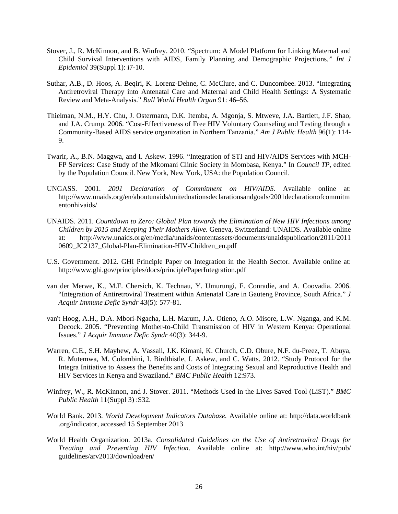- Stover, J., R. McKinnon, and B. Winfrey. 2010. "Spectrum: A Model Platform for Linking Maternal and Child Survival Interventions with AIDS, Family Planning and Demographic Projections*." Int J Epidemiol* 39(Suppl 1): i7-10.
- Suthar, A.B., D. Hoos, A. Beqiri, K. Lorenz-Dehne, C. McClure, and C. Duncombee. 2013. "Integrating Antiretroviral Therapy into Antenatal Care and Maternal and Child Health Settings: A Systematic Review and Meta-Analysis." *Bull World Health Organ* 91: 46–56.
- Thielman, N.M., H.Y. Chu, J. Ostermann, D.K. Itemba, A. Mgonja, S. Mtweve, J.A. Bartlett, J.F. Shao, and J.A. Crump. 2006. "Cost-Effectiveness of Free HIV Voluntary Counseling and Testing through a Community-Based AIDS service organization in Northern Tanzania." *Am J Public Health* 96(1): 114- 9.
- Twarir, A., B.N. Maggwa, and I. Askew. 1996. "Integration of STI and HIV/AIDS Services with MCH-FP Services: Case Study of the Mkomani Clinic Society in Mombasa, Kenya." In *Council TP*, edited by the Population Council. New York, New York, USA: the Population Council.
- UNGASS. 2001. *2001 Declaration of Commitment on HIV/AIDS.* Available online at: http://www.unaids.org/en/aboutunaids/unitednationsdeclarationsandgoals/2001declarationofcommitm entonhivaids/
- UNAIDS. 2011. *Countdown to Zero: Global Plan towards the Elimination of New HIV Infections among Children by 2015 and Keeping Their Mothers Alive.* Geneva, Switzerland: UNAIDS. Available online at: http://www.unaids.org/en/media/unaids/contentassets/documents/unaidspublication/2011/2011 0609 JC2137 Global-Plan-Elimination-HIV-Children\_en.pdf
- U.S. Government. 2012. GHI Principle Paper on Integration in the Health Sector. Available online at: http://www.ghi.gov/principles/docs/principlePaperIntegration.pdf
- van der Merwe, K., M.F. Chersich, K. Technau, Y. Umurungi, F. Conradie, and A. Coovadia. 2006. "Integration of Antiretroviral Treatment within Antenatal Care in Gauteng Province, South Africa." *J Acquir Immune Defic Syndr* 43(5): 577-81.
- van't Hoog, A.H., D.A. Mbori-Ngacha, L.H. Marum, J.A. Otieno, A.O. Misore, L.W. Nganga, and K.M. Decock. 2005. "Preventing Mother-to-Child Transmission of HIV in Western Kenya: Operational Issues." *J Acquir Immune Defic Syndr* 40(3): 344-9.
- Warren, C.E., S.H. Mayhew, A. Vassall, J.K. Kimani, K. Church, C.D. Obure, N.F. du-Preez, T. Abuya, R. Mutemwa, M. Colombini, I. Birdthistle, I. Askew, and C. Watts. 2012. "Study Protocol for the Integra Initiative to Assess the Benefits and Costs of Integrating Sexual and Reproductive Health and HIV Services in Kenya and Swaziland." *BMC Public Health* 12:973.
- Winfrey, W., R. McKinnon, and J. Stover. 2011. "Methods Used in the Lives Saved Tool (LiST)." *BMC Public Health* 11(Suppl 3) :S32.
- World Bank. 2013. *World Development Indicators Database.* Available online at: http://data.worldbank .org/indicator, accessed 15 September 2013
- World Health Organization. 2013a. *Consolidated Guidelines on the Use of Antiretroviral Drugs for Treating and Preventing HIV Infection*. Available online at: http://www.who.int/hiv/pub/ guidelines/arv2013/download/en/